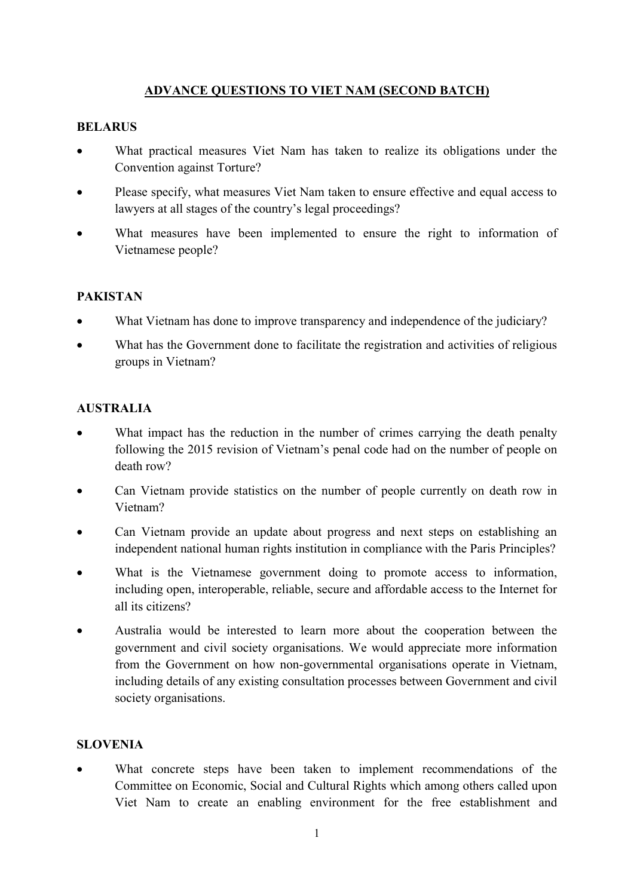# ADVANCE QUESTIONS TO VIET NAM (SECOND BATCH)

#### **BELARUS**

- What practical measures Viet Nam has taken to realize its obligations under the Convention against Torture?
- Please specify, what measures Viet Nam taken to ensure effective and equal access to lawyers at all stages of the country's legal proceedings?
- What measures have been implemented to ensure the right to information of Vietnamese people?

### PAKISTAN

- What Vietnam has done to improve transparency and independence of the judiciary?
- What has the Government done to facilitate the registration and activities of religious groups in Vietnam?

### AUSTRALIA

- What impact has the reduction in the number of crimes carrying the death penalty following the 2015 revision of Vietnam's penal code had on the number of people on death row?
- Can Vietnam provide statistics on the number of people currently on death row in Vietnam?
- Can Vietnam provide an update about progress and next steps on establishing an independent national human rights institution in compliance with the Paris Principles?
- What is the Vietnamese government doing to promote access to information, including open, interoperable, reliable, secure and affordable access to the Internet for all its citizens?
- Australia would be interested to learn more about the cooperation between the government and civil society organisations. We would appreciate more information from the Government on how non-governmental organisations operate in Vietnam, including details of any existing consultation processes between Government and civil society organisations.

### SLOVENIA

 What concrete steps have been taken to implement recommendations of the Committee on Economic, Social and Cultural Rights which among others called upon Viet Nam to create an enabling environment for the free establishment and